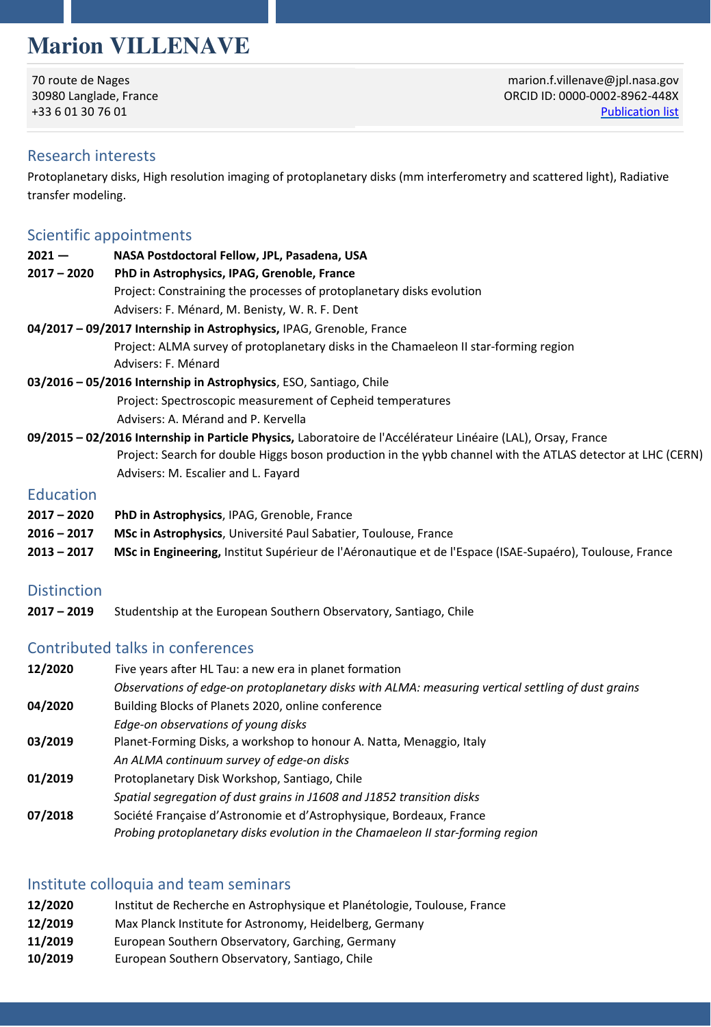# **Marion VILLENAVE**

70 route de Nages 30980 Langlade, France +33 6 01 30 76 01

marion.f.villenave@jpl.nasa.gov ORCID ID: 0000-0[002-8962-448X](https://ui.adsabs.harvard.edu/public-libraries/zAlVFwZgTVWGactDKqkd6w)  Publication list

## Research interests

Protoplanetary disks, High resolution imaging of protoplanetary disks (mm interferometry and scattered light), Radiative transfer modeling.

## Scientific appointments

| $2021 -$                                                                                                        | NASA Postdoctoral Fellow, JPL, Pasadena, USA                                                                |
|-----------------------------------------------------------------------------------------------------------------|-------------------------------------------------------------------------------------------------------------|
| $2017 - 2020$                                                                                                   | PhD in Astrophysics, IPAG, Grenoble, France                                                                 |
|                                                                                                                 | Project: Constraining the processes of protoplanetary disks evolution                                       |
|                                                                                                                 | Advisers: F. Ménard, M. Benisty, W. R. F. Dent                                                              |
|                                                                                                                 | 04/2017 - 09/2017 Internship in Astrophysics, IPAG, Grenoble, France                                        |
|                                                                                                                 | Project: ALMA survey of protoplanetary disks in the Chamaeleon II star-forming region                       |
|                                                                                                                 | Advisers: F. Ménard                                                                                         |
| 03/2016 - 05/2016 Internship in Astrophysics, ESO, Santiago, Chile                                              |                                                                                                             |
|                                                                                                                 | Project: Spectroscopic measurement of Cepheid temperatures                                                  |
|                                                                                                                 | Advisers: A. Mérand and P. Kervella                                                                         |
| 09/2015 - 02/2016 Internship in Particle Physics, Laboratoire de l'Accélérateur Linéaire (LAL), Orsay, France   |                                                                                                             |
|                                                                                                                 | Project: Search for double Higgs boson production in the yybb channel with the ATLAS detector at LHC (CERN) |
|                                                                                                                 | Advisers: M. Escalier and L. Fayard                                                                         |
| <b>Education</b>                                                                                                |                                                                                                             |
| $2017 - 2020$                                                                                                   | <b>PhD in Astrophysics, IPAG, Grenoble, France</b>                                                          |
| $2016 - 2017$                                                                                                   | MSc in Astrophysics, Université Paul Sabatier, Toulouse, France                                             |
| $2013 - 2017$                                                                                                   | MSc in Engineering, Institut Supérieur de l'Aéronautique et de l'Espace (ISAE-Supaéro), Toulouse, France    |
| and the state of the state of the state of the state of the state of the state of the state of the state of the |                                                                                                             |

#### Distinction

**2017 – 2019** Studentship at the European Southern Observatory, Santiago, Chile

## Contributed talks in conferences

| 12/2020 | Five years after HL Tau: a new era in planet formation                                             |
|---------|----------------------------------------------------------------------------------------------------|
|         | Observations of edge-on protoplanetary disks with ALMA: measuring vertical settling of dust grains |
| 04/2020 | Building Blocks of Planets 2020, online conference                                                 |
|         | Edge-on observations of young disks                                                                |
| 03/2019 | Planet-Forming Disks, a workshop to honour A. Natta, Menaggio, Italy                               |
|         | An ALMA continuum survey of edge-on disks                                                          |
| 01/2019 | Protoplanetary Disk Workshop, Santiago, Chile                                                      |
|         | Spatial segregation of dust grains in J1608 and J1852 transition disks                             |
| 07/2018 | Société Francaise d'Astronomie et d'Astrophysique, Bordeaux, France                                |
|         | Probing protoplanetary disks evolution in the Chamaeleon II star-forming region                    |

## Institute colloquia and team seminars

| 12/2020 | Institut de Recherche en Astrophysique et Planétologie, Toulouse, France |
|---------|--------------------------------------------------------------------------|
| 12/2019 | Max Planck Institute for Astronomy, Heidelberg, Germany                  |
| 11/2019 | European Southern Observatory, Garching, Germany                         |
| 10/2019 | European Southern Observatory, Santiago, Chile                           |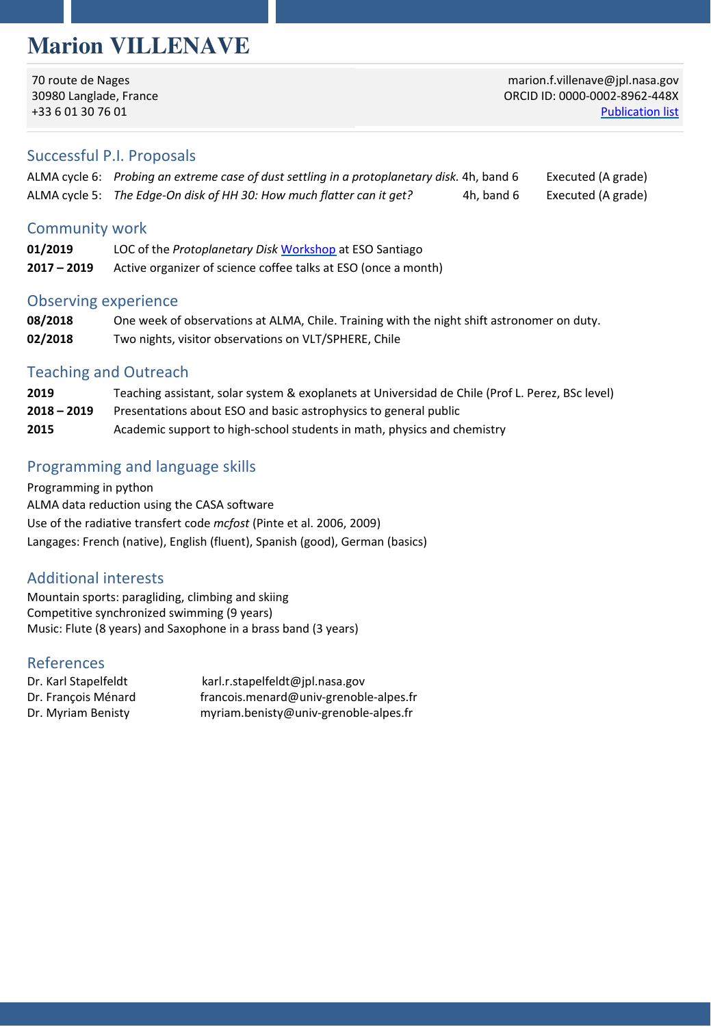# **Marion VILLENAVE**

70 route de Nages 30980 Langlade, France +33 6 01 30 76 01

marion.f.villenave@jpl.nasa.gov ORCID ID: 0000-0[002-8962-448X](https://ui.adsabs.harvard.edu/public-libraries/zAlVFwZgTVWGactDKqkd6w)  Publication list

#### Successful P.I. Proposals

| ALMA cycle 6: Probing an extreme case of dust settling in a protoplanetary disk. 4h, band 6 |            | Executed (A grade) |
|---------------------------------------------------------------------------------------------|------------|--------------------|
| ALMA cycle 5: The Edge-On disk of HH 30: How much flatter can it get?                       | 4h, band 6 | Executed (A grade) |

#### Community work

| 01/2019       | LOC of the <i>Protoplanetary Disk</i> Workshop at ESO Santiago |
|---------------|----------------------------------------------------------------|
| $2017 - 2019$ | Active organizer of science coffee talks at ESO (once a month) |

#### Observing experience

| 08/2018 | One week of observations at ALMA, Chile. Training with the night shift astronomer on duty. |
|---------|--------------------------------------------------------------------------------------------|
| 02/2018 | Two nights, visitor observations on VLT/SPHERE, Chile                                      |

#### Teaching and Outreach

| 2019          | Teaching assistant, solar system & exoplanets at Universidad de Chile (Prof L. Perez, BSc level) |
|---------------|--------------------------------------------------------------------------------------------------|
| $2018 - 2019$ | Presentations about ESO and basic astrophysics to general public                                 |
| 2015          | Academic support to high-school students in math, physics and chemistry                          |

## Programming and language skills

Programming in python ALMA data reduction using the CASA software Use of the radiative transfert code *mcfost* (Pinte et al. 2006, 2009) Langages: French (native), English (fluent), Spanish (good), German (basics)

### Additional interests

Mountain sports: paragliding, climbing and skiing Competitive synchronized swimming (9 years) Music: Flute (8 years) and Saxophone in a brass band (3 years)

#### References

Dr. Karl Stapelfeldt karl.r.stapelfeldt@jpl.nasa.gov Dr. François Ménard francois.menard@univ-grenoble-alpes.fr Dr. Myriam Benisty myriam.benisty@univ-grenoble-alpes.fr